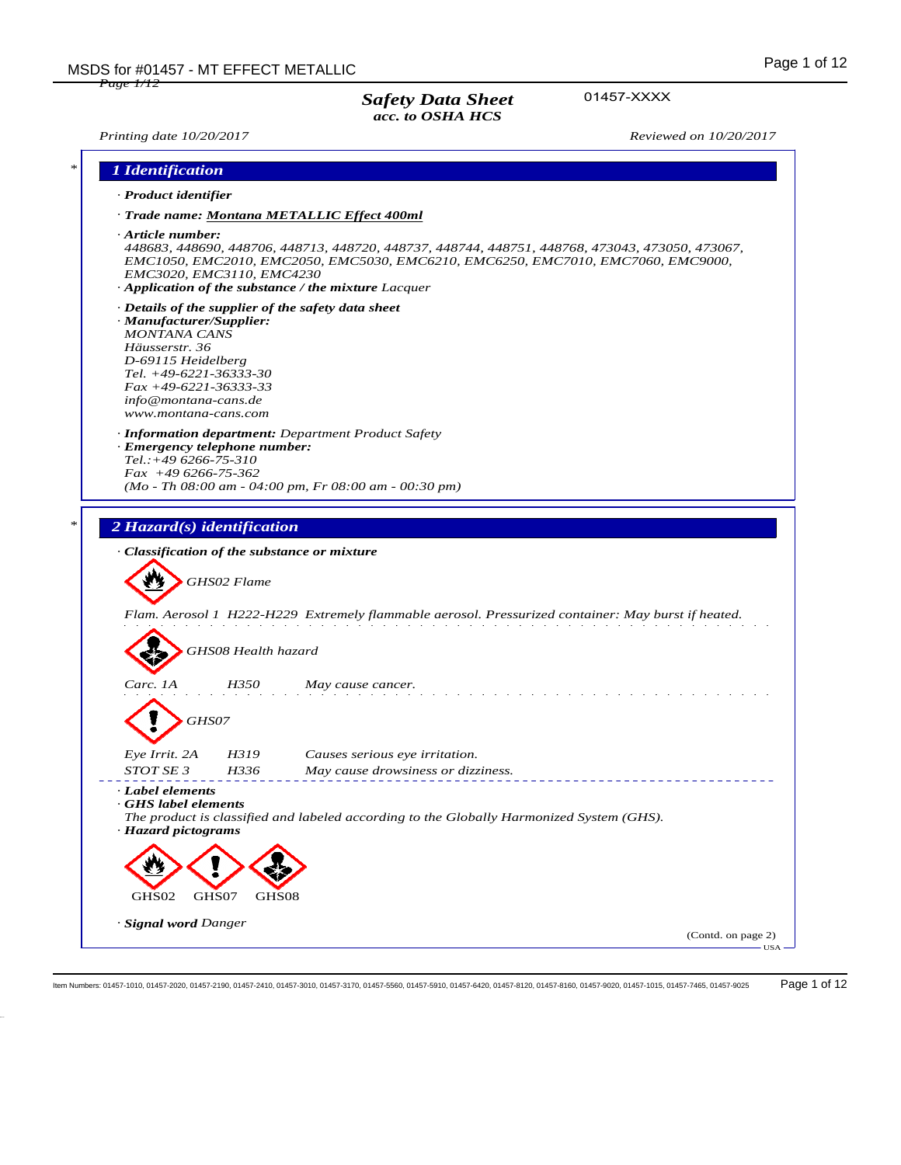01457-XXXX

*Printing date 10/20/2017 Reviewed on 10/20/2017*

|                                                                                                                                                                                               | 1 Identification                                                                          |                                                                                          |                                                                                                                                                                                     |
|-----------------------------------------------------------------------------------------------------------------------------------------------------------------------------------------------|-------------------------------------------------------------------------------------------|------------------------------------------------------------------------------------------|-------------------------------------------------------------------------------------------------------------------------------------------------------------------------------------|
| · Product identifier                                                                                                                                                                          |                                                                                           |                                                                                          |                                                                                                                                                                                     |
|                                                                                                                                                                                               | · Trade name: Montana METALLIC Effect 400ml                                               |                                                                                          |                                                                                                                                                                                     |
| $\cdot$ Article number:                                                                                                                                                                       | EMC3020, EMC3110, EMC4230<br>$\cdot$ Application of the substance / the mixture Lacquer   |                                                                                          | 448683, 448690, 448706, 448713, 448720, 448737, 448744, 448751, 448768, 473043, 473050, 473067,<br>EMC1050, EMC2010, EMC2050, EMC5030, EMC6210, EMC6250, EMC7010, EMC7060, EMC9000, |
| · Manufacturer/Supplier:<br><b>MONTANA CANS</b><br>Häusserstr. 36<br>D-69115 Heidelberg<br>Tel. +49-6221-36333-30<br>$Fax + 49-6221-36333-33$<br>info@montana-cans.de<br>www.montana-cans.com | · Details of the supplier of the safety data sheet                                        |                                                                                          |                                                                                                                                                                                     |
| $Tel. : +496266 - 75 - 310$<br>$Fax +496266-75-362$                                                                                                                                           | <b>Information department:</b> Department Product Safety<br>· Emergency telephone number: | $(Mo - Th 08:00 am - 04:00 pm, Fr 08:00 am - 00:30 pm)$                                  |                                                                                                                                                                                     |
|                                                                                                                                                                                               |                                                                                           |                                                                                          |                                                                                                                                                                                     |
|                                                                                                                                                                                               |                                                                                           |                                                                                          |                                                                                                                                                                                     |
|                                                                                                                                                                                               | · Classification of the substance or mixture<br>GHS02 Flame                               |                                                                                          |                                                                                                                                                                                     |
|                                                                                                                                                                                               | GHS08 Health hazard                                                                       |                                                                                          | Flam. Aerosol 1 H222-H229 Extremely flammable aerosol. Pressurized container: May burst if heated.                                                                                  |
| Carc. 1A                                                                                                                                                                                      | H350                                                                                      | May cause cancer.                                                                        |                                                                                                                                                                                     |
|                                                                                                                                                                                               | GHS07                                                                                     |                                                                                          |                                                                                                                                                                                     |
| Eye Irrit. 2A<br>STOT SE 3                                                                                                                                                                    | H319<br>H336                                                                              | Causes serious eye irritation.<br>May cause drowsiness or dizziness.                     |                                                                                                                                                                                     |
| · Label elements<br>GHS label elements<br>· Hazard pictograms                                                                                                                                 |                                                                                           | The product is classified and labeled according to the Globally Harmonized System (GHS). |                                                                                                                                                                                     |
|                                                                                                                                                                                               |                                                                                           |                                                                                          |                                                                                                                                                                                     |
| GHS02                                                                                                                                                                                         | GHS07<br>GHS08                                                                            |                                                                                          |                                                                                                                                                                                     |

Item Numbers: 01457-1010, 01457-2020, 01457-2190, 01457-2410, 01457-3010, 01457-3170, 01457-5560, 01457-5910, 01457-6420, 01457-8120, 01457-8160, 01457-9020, 01457-1015, 01457-7465, 01457-9025 Page 1 of 12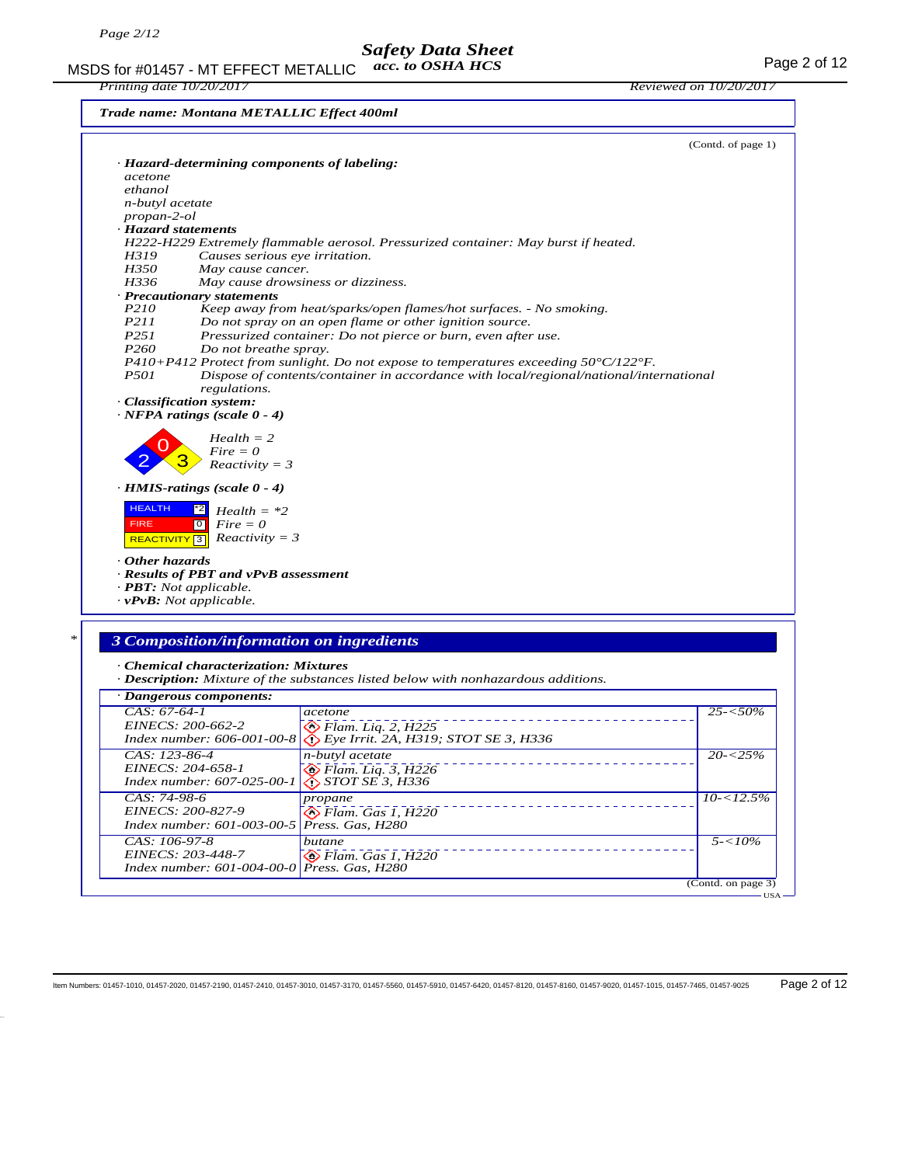MSDS for #01457 - MT EFFECT METALLIC acc. to OSHA HCS Page 2 of 12 *acc. to OSHA HCS*

*Printing date 10/20/2017 Reviewed on 10/20/2017*

*Trade name: Montana METALLIC Effect 400ml*

|                                     |                                              |                                                                                                           | (Contd. of page 1)                         |
|-------------------------------------|----------------------------------------------|-----------------------------------------------------------------------------------------------------------|--------------------------------------------|
|                                     | · Hazard-determining components of labeling: |                                                                                                           |                                            |
| acetone<br>ethanol                  |                                              |                                                                                                           |                                            |
| n-butyl acetate                     |                                              |                                                                                                           |                                            |
| $propan-2-ol$                       |                                              |                                                                                                           |                                            |
| · Hazard statements                 |                                              |                                                                                                           |                                            |
|                                     |                                              | H222-H229 Extremely flammable aerosol. Pressurized container: May burst if heated.                        |                                            |
| H319                                | Causes serious eye irritation.               |                                                                                                           |                                            |
| H350                                | May cause cancer.                            |                                                                                                           |                                            |
| H336                                | May cause drowsiness or dizziness.           |                                                                                                           |                                            |
|                                     | · Precautionary statements                   |                                                                                                           |                                            |
| P210                                |                                              | Keep away from heat/sparks/open flames/hot surfaces. - No smoking.                                        |                                            |
| P211                                |                                              | Do not spray on an open flame or other ignition source.                                                   |                                            |
| P251                                |                                              | Pressurized container: Do not pierce or burn, even after use.                                             |                                            |
| P <sub>260</sub>                    | Do not breathe spray.                        |                                                                                                           |                                            |
|                                     |                                              | P410+P412 Protect from sunlight. Do not expose to temperatures exceeding $50^{\circ}$ C/122 $^{\circ}$ F. |                                            |
| <i>P501</i>                         |                                              | Dispose of contents/container in accordance with local/regional/national/international                    |                                            |
|                                     | regulations.                                 |                                                                                                           |                                            |
|                                     | · Classification system:                     |                                                                                                           |                                            |
|                                     | $\cdot$ NFPA ratings (scale 0 - 4)           |                                                                                                           |                                            |
|                                     |                                              |                                                                                                           |                                            |
|                                     | $Health = 2$                                 |                                                                                                           |                                            |
|                                     | $Fire = 0$                                   |                                                                                                           |                                            |
|                                     | $Reactivity = 3$                             |                                                                                                           |                                            |
|                                     | $\cdot$ HMIS-ratings (scale 0 - 4)           |                                                                                                           |                                            |
|                                     |                                              |                                                                                                           |                                            |
| <b>HEALTH</b>                       | $ z^*2 $<br>$Health = *2$                    |                                                                                                           |                                            |
| <b>FIRE</b>                         | $Fire = 0$<br>$\circ$                        |                                                                                                           |                                            |
| REACTIVITY <sup>3</sup>             | $Reactivity = 3$                             |                                                                                                           |                                            |
| Other hazards                       |                                              |                                                                                                           |                                            |
|                                     | · Results of PBT and vPvB assessment         |                                                                                                           |                                            |
| $\cdot$ <b>PBT:</b> Not applicable. |                                              |                                                                                                           |                                            |
| $\cdot v$ PvB: Not applicable.      |                                              |                                                                                                           |                                            |
|                                     |                                              |                                                                                                           |                                            |
|                                     |                                              |                                                                                                           |                                            |
|                                     |                                              |                                                                                                           |                                            |
|                                     |                                              |                                                                                                           |                                            |
|                                     | 3 Composition/information on ingredients     |                                                                                                           |                                            |
|                                     |                                              |                                                                                                           |                                            |
|                                     | · Chemical characterization: Mixtures        | · <b>Description:</b> Mixture of the substances listed below with nonhazardous additions.                 |                                            |
|                                     |                                              |                                                                                                           |                                            |
|                                     | · Dangerous components:                      |                                                                                                           |                                            |
| $CAS: 67-64-1$                      |                                              | acetone                                                                                                   |                                            |
| EINECS: 200-662-2                   |                                              | $\bullet$ Flam. Liq. 2, H225                                                                              |                                            |
|                                     | Index number: 606-001-00-8                   | $\bigotimes$ Eye Irrit. 2A, H319; STOT SE 3, H336                                                         |                                            |
| CAS: 123-86-4                       |                                              | n-butyl acetate                                                                                           |                                            |
| EINECS: 204-658-1                   |                                              | $\diamondsuit$ Flam. Liq. 3, H226                                                                         |                                            |
|                                     | Index number: 607-025-00-1                   | STOT SE 3, H336                                                                                           |                                            |
| CAS: 74-98-6                        |                                              | propane                                                                                                   |                                            |
| EINECS: 200-827-9                   |                                              | $\bigotimes$ Flam. Gas 1, H220                                                                            |                                            |
|                                     | Index number: 601-003-00-5                   | Press. Gas, H280                                                                                          | $25 - 50\%$<br>$20 - 25%$<br>$10 - 12.5\%$ |
| CAS: 106-97-8                       |                                              |                                                                                                           |                                            |
| EINECS: 203-448-7                   |                                              | butane                                                                                                    | $5 - 10\%$                                 |
|                                     | Index number: 601-004-00-0                   | $\otimes$ Flam. Gas 1, H220<br>Press. Gas, H280                                                           |                                            |

USA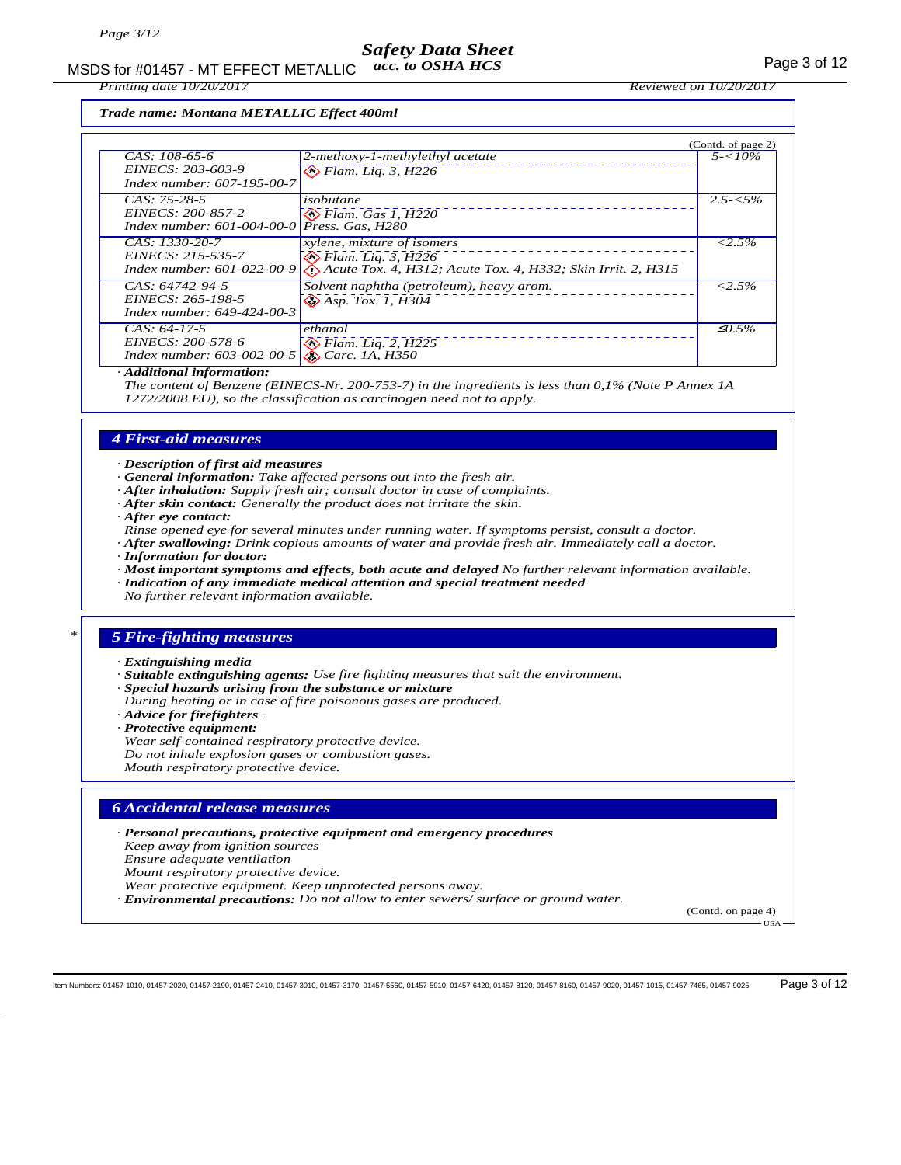MSDS for #01457 - MT EFFECT METALLIC acc. to OSHA HCS For the MSDS for the Page 3 of 12 *acc. to OSHA HCS*

*Printing date 10/20/2017 Reviewed on 10/20/2017*

*Trade name: Montana METALLIC Effect 400ml*

|                                                                                            |                                                                                                                           | (Contd. of page 2) |
|--------------------------------------------------------------------------------------------|---------------------------------------------------------------------------------------------------------------------------|--------------------|
| CAS: 108-65-6<br>EINECS: 203-603-9<br>Index number: 607-195-00-7                           | 2-methoxy-1-methylethyl acetate<br>$\bigotimes$ Flam. Lig. 3, H226                                                        | $5 - 10\%$         |
| $CAS: 75-28-5$<br>EINECS: 200-857-2<br>Index number: $601 - 004 - 00 - 0$ Press. Gas, H280 | isobutane<br>$\diamond$ Flam. Gas 1, H220                                                                                 | $2.5 - 5\%$        |
| $CAS: 1330-20-7$<br>EINECS: 215-535-7<br>Index number: $601 - 022 - 00 - 9$                | xylene, mixture of isomers<br>$\otimes$ Flam. Lig. 3, H226<br>Acute Tox. 4, H312; Acute Tox. 4, H332; Skin Irrit. 2, H315 | $< 2.5\%$          |
| CAS: 64742-94-5<br>EINECS: 265-198-5<br>Index number: 649-424-00-3                         | Solvent naphtha (petroleum), heavy arom.<br>$\bigotimes$ Asp. Tox. 1, $\overline{H}3\overline{0}4$                        | $< 2.5\%$          |
| $CAS: 64-17-5$<br>EINECS: 200-578-6<br>Index number: $603 - 002 - 00 - 5$                  | ethanol<br>$\diamondsuit$ Flam. Liq. 2, H225<br>$\bigotimes$ Carc. 1A, H350                                               | $\mathcal{L}0.5\%$ |

*· Additional information:*

*The content of Benzene (EINECS-Nr. 200-753-7) in the ingredients is less than 0,1% (Note P Annex 1A 1272/2008 EU), so the classification as carcinogen need not to apply.*

#### *4 First-aid measures*

*· Description of first aid measures*

- *· General information: Take affected persons out into the fresh air.*
- *· After inhalation: Supply fresh air; consult doctor in case of complaints.*
- *· After skin contact: Generally the product does not irritate the skin.*
- *· After eye contact:*

*Rinse opened eye for several minutes under running water. If symptoms persist, consult a doctor.*

- *· After swallowing: Drink copious amounts of water and provide fresh air. Immediately call a doctor. · Information for doctor:*
- *· Most important symptoms and effects, both acute and delayed No further relevant information available. · Indication of any immediate medical attention and special treatment needed*

*No further relevant information available.*

## *\* 5 Fire-fighting measures*

*· Extinguishing media*

- *· Suitable extinguishing agents: Use fire fighting measures that suit the environment.*
- *· Special hazards arising from the substance or mixture*
- *During heating or in case of fire poisonous gases are produced.*

*· Advice for firefighters -* 

- *· Protective equipment:*
- *Wear self-contained respiratory protective device.*
- *Do not inhale explosion gases or combustion gases.*

*Mouth respiratory protective device.*

#### *6 Accidental release measures*

*· Personal precautions, protective equipment and emergency procedures*

*Keep away from ignition sources*

*Ensure adequate ventilation*

*Mount respiratory protective device.*

*Wear protective equipment. Keep unprotected persons away.*

*· Environmental precautions: Do not allow to enter sewers/ surface or ground water.*

(Contd. on page 4)

USA

Item Numbers: 01457-1010, 01457-2020, 01457-2190, 01457-2410, 01457-3010, 01457-3170, 01457-5560, 01457-5910, 01457-6420, 01457-8120, 01457-8160, 01457-9020, 01457-1015, 01457-7465, 01457-9025 Page 3 of 12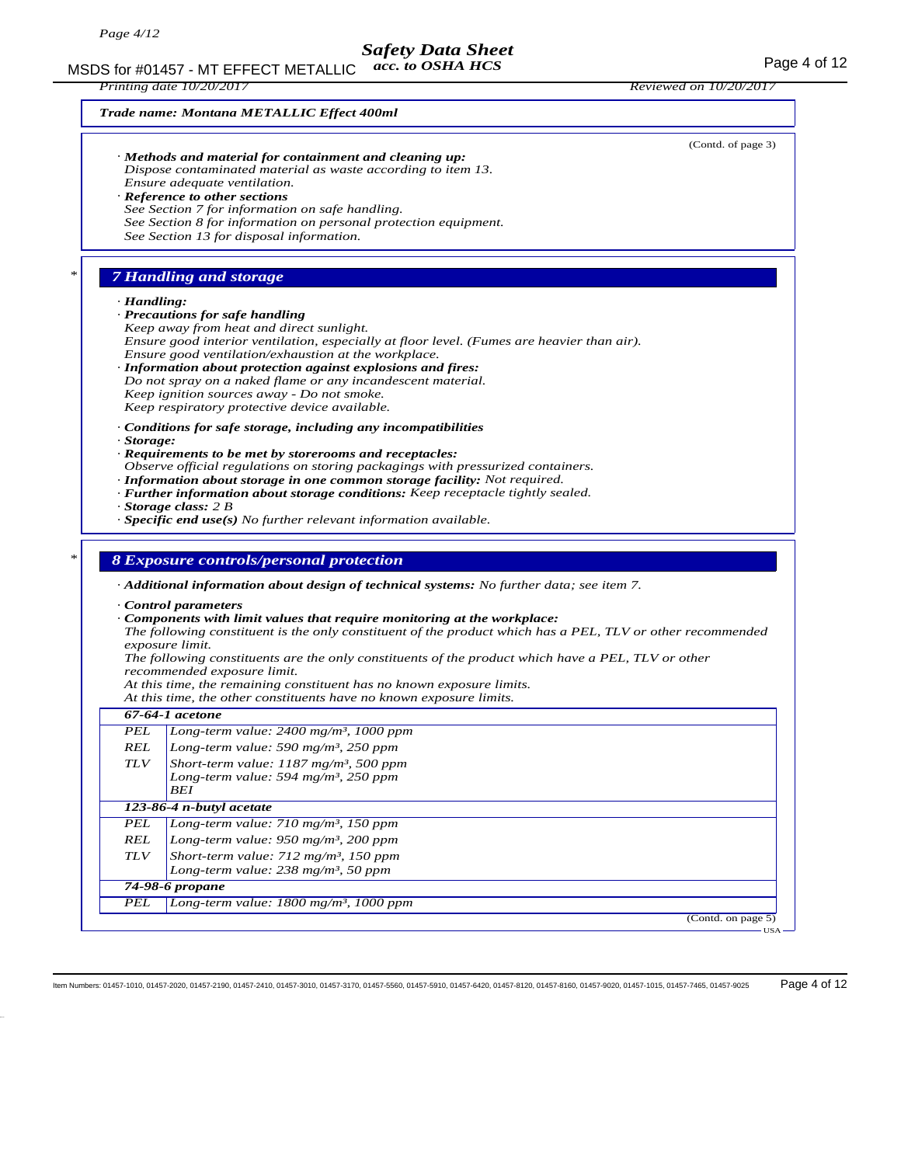MSDS for #01457 - MT EFFECT METALLIC acc. to OSHA HCS For the MSDS for #01457 - MT EFFECT METALLIC acc. to OSHA HCS *acc. to OSHA HCS*

*Printing date 10/20/2017 Reviewed on 10/20/2017*

*Trade name: Montana METALLIC Effect 400ml*

(Contd. of page 3) *· Methods and material for containment and cleaning up: Dispose contaminated material as waste according to item 13. Ensure adequate ventilation. · Reference to other sections See Section 7 for information on safe handling. See Section 8 for information on personal protection equipment. See Section 13 for disposal information. \* 7 Handling and storage · Handling: · Precautions for safe handling Keep away from heat and direct sunlight. Ensure good interior ventilation, especially at floor level. (Fumes are heavier than air). Ensure good ventilation/exhaustion at the workplace. · Information about protection against explosions and fires: Do not spray on a naked flame or any incandescent material. Keep ignition sources away - Do not smoke. Keep respiratory protective device available. · Conditions for safe storage, including any incompatibilities · Storage: · Requirements to be met by storerooms and receptacles: Observe official regulations on storing packagings with pressurized containers. · Information about storage in one common storage facility: Not required. · Further information about storage conditions: Keep receptacle tightly sealed. · Storage class: 2 B · Specific end use(s) No further relevant information available. \* 8 Exposure controls/personal protection · Additional information about design of technical systems: No further data; see item 7. · Control parameters · Components with limit values that require monitoring at the workplace: The following constituent is the only constituent of the product which has a PEL, TLV or other recommended exposure limit. The following constituents are the only constituents of the product which have a PEL, TLV or other recommended exposure limit. At this time, the remaining constituent has no known exposure limits. At this time, the other constituents have no known exposure limits. 67-64-1 acetone PEL Long-term value: 2400 mg/m³, 1000 ppm REL Long-term value: 590 mg/m³, 250 ppm TLV Short-term value: 1187 mg/m³, 500 ppm Long-term value: 594 mg/m³, 250 ppm BEI 123-86-4 n-butyl acetate PEL Long-term value: 710 mg/m³, 150 ppm REL Long-term value: 950 mg/m³, 200 ppm TLV Short-term value: 712 mg/m³, 150 ppm Long-term value: 238 mg/m³, 50 ppm 74-98-6 propane*

*PEL Long-term value: 1800 mg/m³, 1000 ppm*

(Contd. on page 5) USA

Item Numbers: 01457-1010, 01457-2020, 01457-2190, 01457-2410, 01457-3010, 01457-3170, 01457-5560, 01457-5910, 01457-6420, 01457-8120, 01457-8160, 01457-9020, 01457-1015, 01457-7465, 01457-9025 Page 4 of 12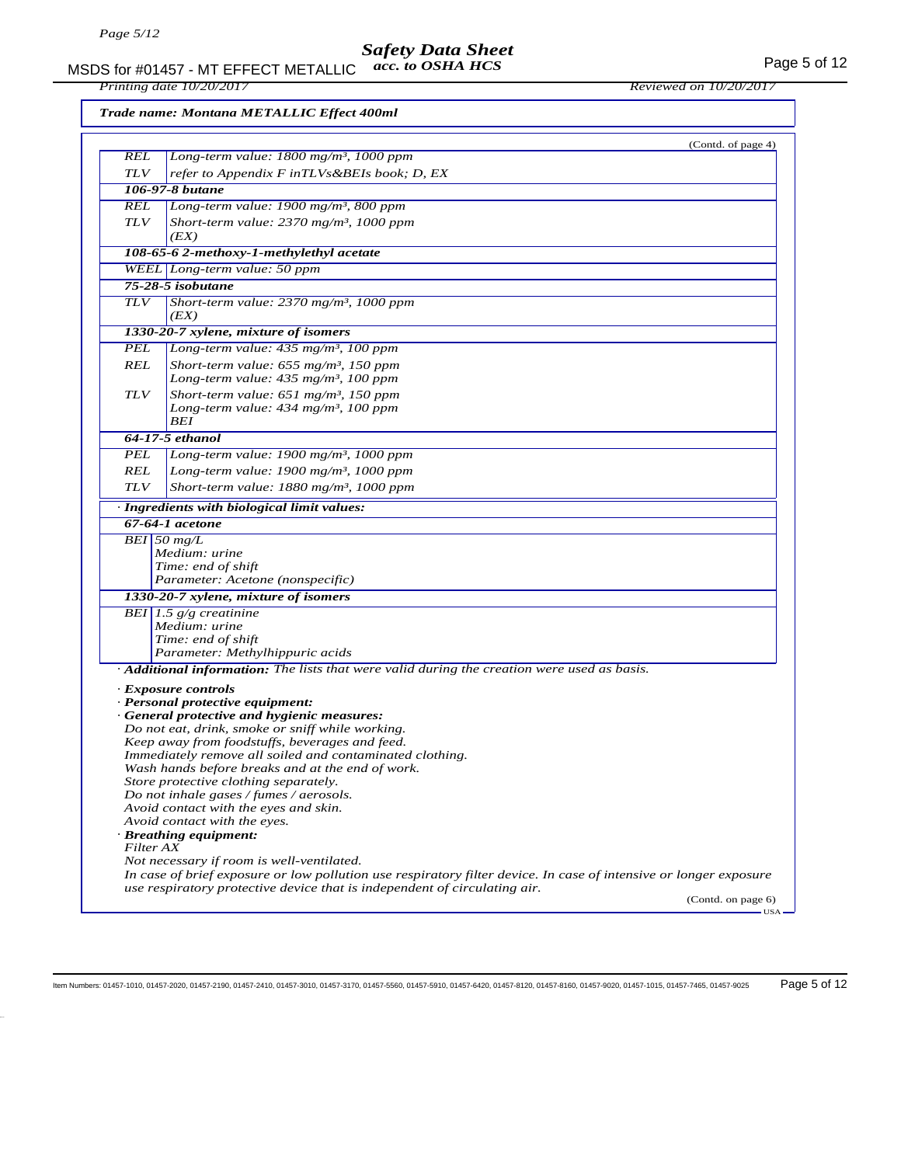MSDS for #01457 - MT EFFECT METALLIC acc. to OSHA HCS Page 5 of 12 *acc. to OSHA HCS*

*Printing date 10/20/2017 Reviewed on 10/20/2017*

*Trade name: Montana METALLIC Effect 400ml*

|            | (Contd. of page 4)                                                                                                |
|------------|-------------------------------------------------------------------------------------------------------------------|
| REL        | Long-term value: 1800 mg/m <sup>3</sup> , 1000 ppm                                                                |
| <b>TLV</b> | refer to Appendix F inTLVs&BEIs book; D, EX                                                                       |
|            | 106-97-8 butane                                                                                                   |
| REL        | Long-term value: 1900 mg/m <sup>3</sup> , 800 ppm                                                                 |
| <b>TLV</b> | Short-term value: $2370$ mg/m <sup>3</sup> , 1000 ppm<br>(EX)                                                     |
|            | 108-65-6 2-methoxy-1-methylethyl acetate                                                                          |
|            | WEEL Long-term value: 50 ppm                                                                                      |
|            | 75-28-5 isobutane                                                                                                 |
| <b>TLV</b> | Short-term value: $2370$ mg/m <sup>3</sup> , 1000 ppm<br>(EX)                                                     |
|            | 1330-20-7 xylene, mixture of isomers                                                                              |
| PEL        | Long-term value: $435$ mg/m <sup>3</sup> , 100 ppm                                                                |
| <b>REL</b> | Short-term value: $655$ mg/m <sup>3</sup> , 150 ppm                                                               |
|            | Long-term value: $435$ mg/m <sup>3</sup> , 100 ppm                                                                |
| TLV        | Short-term value: $651$ mg/m <sup>3</sup> , 150 ppm                                                               |
|            | Long-term value: 434 mg/m <sup>3</sup> , 100 ppm                                                                  |
|            | BEI                                                                                                               |
|            | 64-17-5 ethanol                                                                                                   |
| PEL        | Long-term value: 1900 mg/m <sup>3</sup> , 1000 ppm                                                                |
| REL        | Long-term value: $1900$ mg/m <sup>3</sup> , $1000$ ppm                                                            |
| TLV        | Short-term value: $1880$ mg/m <sup>3</sup> , 1000 ppm                                                             |
|            | · Ingredients with biological limit values:                                                                       |
|            | 67-64-1 acetone                                                                                                   |
|            | $BEI$ 50 mg/L                                                                                                     |
|            | Medium: urine                                                                                                     |
|            | Time: end of shift                                                                                                |
|            | Parameter: Acetone (nonspecific)                                                                                  |
|            | 1330-20-7 xylene, mixture of isomers                                                                              |
|            | BEI 1.5 $g/g$ creatinine                                                                                          |
|            | Medium: urine                                                                                                     |
|            | Time: end of shift<br>Parameter: Methylhippuric acids                                                             |
|            | $\cdot$ <b>Additional information:</b> The lists that were valid during the creation were used as basis.          |
|            |                                                                                                                   |
|            | · Exposure controls<br>· Personal protective equipment:                                                           |
|            | · General protective and hygienic measures:                                                                       |
|            | Do not eat, drink, smoke or sniff while working.                                                                  |
|            | Keep away from foodstuffs, beverages and feed.                                                                    |
|            | Immediately remove all soiled and contaminated clothing.                                                          |
|            | Wash hands before breaks and at the end of work.                                                                  |
|            | Store protective clothing separately.                                                                             |
|            | Do not inhale gases / fumes / aerosols.<br>Avoid contact with the eyes and skin.                                  |
|            | Avoid contact with the eyes.                                                                                      |
|            | · Breathing equipment:                                                                                            |
| Filter AX  |                                                                                                                   |
|            | Not necessary if room is well-ventilated.                                                                         |
|            | In case of brief exposure or low pollution use respiratory filter device. In case of intensive or longer exposure |
|            | use respiratory protective device that is independent of circulating air.<br>(Contd. on page 6)                   |
|            | $USA -$                                                                                                           |

Item Numbers: 01457-1010, 01457-2020, 01457-2190, 01457-2410, 01457-3010, 01457-3170, 01457-5560, 01457-5910, 01457-6420, 01457-8120, 01457-8160, 01457-9020, 01457-1015, 01457-7465, 01457-9025 Page 5 of 12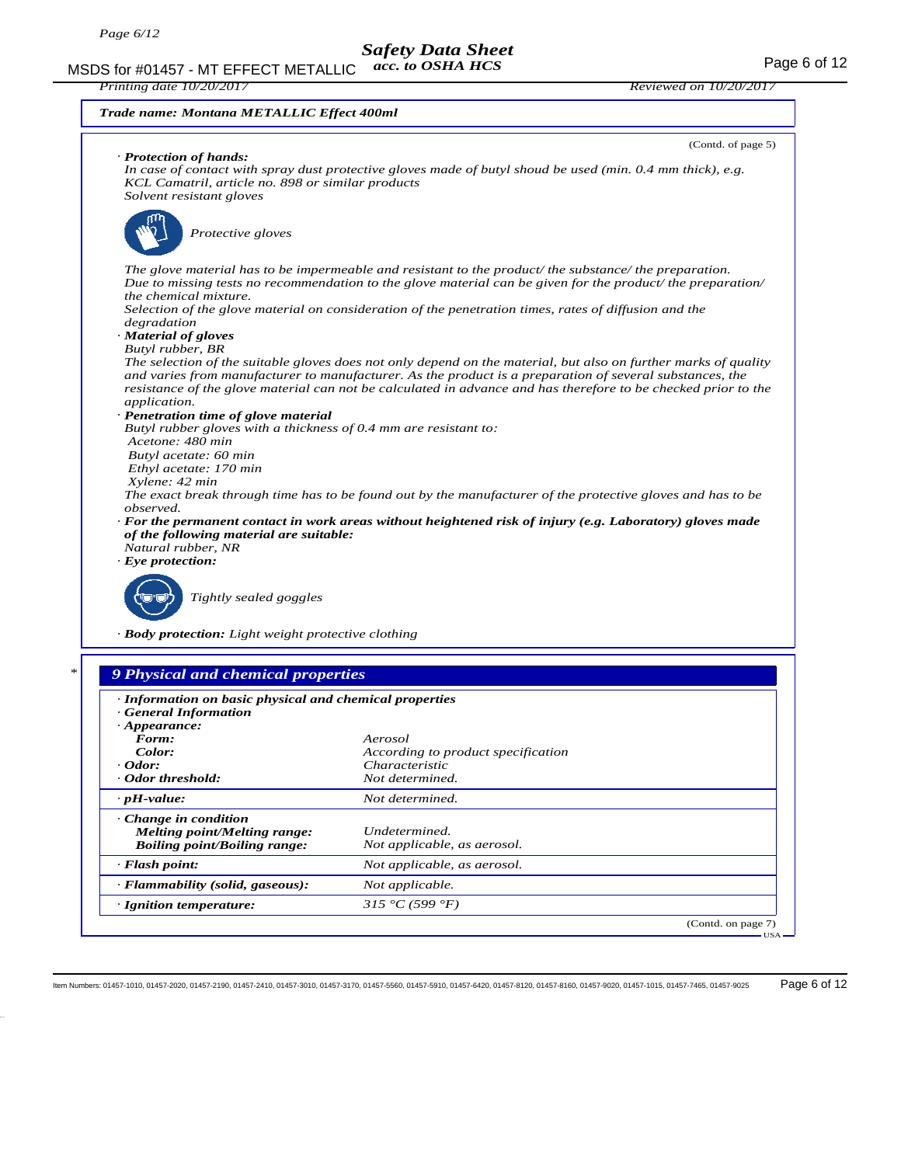MSDS for #01457 - MT EFFECT METALLIC acc. to OSHA HCS For the MSDS for the Page 6 of 12 *acc. to OSHA HCS*

*· Change in condition*

*Melting point/Melting range: Undetermined.*

*· Flammability (solid, gaseous): Not applicable. · Ignition temperature: 315 °C (599 °F)*

*Boiling point/Boiling range: Not applicable, as aerosol. · Flash point: Not applicable, as aerosol.*

*Trade name: Montana METALLIC Effect 400ml*



(Contd. on page 7)

USA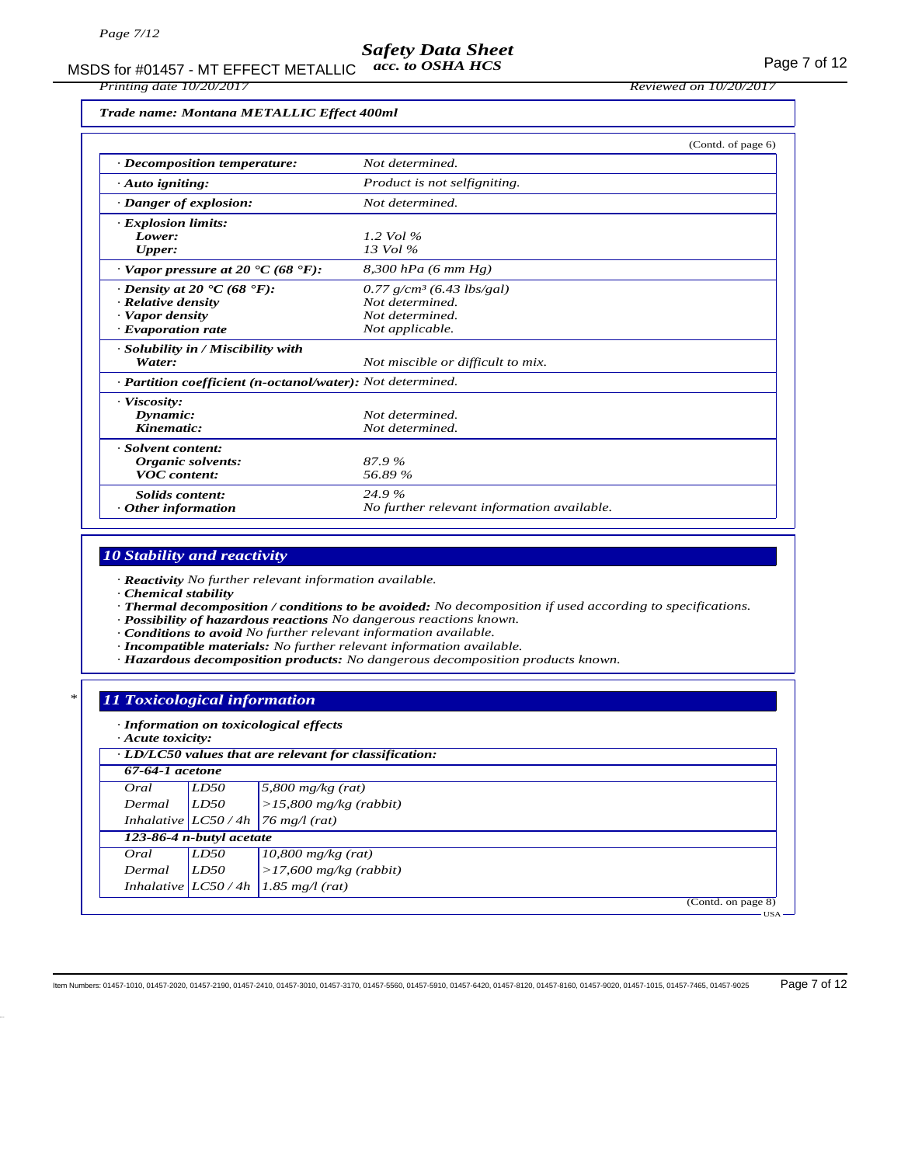#### *Safety Data Sheet acc. to OSHA HCS*

MSDS for #01457 - MT EFFECT METALLIC acc. to OSHA HCS Page 7 of 12

*Printing date 10/20/2017 Reviewed on 10/20/2017*

*Trade name: Montana METALLIC Effect 400ml*

|                                                                   | (Contd. of page 6)                         |  |
|-------------------------------------------------------------------|--------------------------------------------|--|
| $\cdot$ Decomposition temperature:                                | Not determined.                            |  |
| $\cdot$ Auto igniting:                                            | Product is not selfigniting.               |  |
| · Danger of explosion:                                            | Not determined.                            |  |
| <b>Explosion limits:</b>                                          |                                            |  |
| Lower:                                                            | 1.2 Vol $\%$                               |  |
| Upper:                                                            | $13$ Vol $\%$                              |  |
| $\cdot$ Vapor pressure at 20 $\cdot$ C (68 $\cdot$ F):            | $8,300$ hPa (6 mm Hg)                      |  |
| $\cdot$ Density at 20 $\cdot$ C (68 $\cdot$ F):                   | $0.77$ g/cm <sup>3</sup> (6.43 lbs/gal)    |  |
| · Relative density                                                | Not determined.                            |  |
| · Vapor density                                                   | Not determined.                            |  |
| · Evaporation rate                                                | Not applicable.                            |  |
| · Solubility in / Miscibility with                                |                                            |  |
| Water:                                                            | Not miscible or difficult to mix.          |  |
| · <b>Partition coefficient (n-octanol/water):</b> Not determined. |                                            |  |
| · Viscosity:                                                      |                                            |  |
| Dynamic:                                                          | Not determined.                            |  |
| Kinematic:                                                        | Not determined.                            |  |
| · Solvent content:                                                |                                            |  |
| Organic solvents:                                                 | 87.9%                                      |  |
| <b>VOC</b> content:                                               | 56.89 %                                    |  |
| Solids content:                                                   | 24.9%                                      |  |
| $\cdot$ Other information                                         | No further relevant information available. |  |

### *10 Stability and reactivity*

*· Reactivity No further relevant information available.*

*· Chemical stability*

*· Thermal decomposition / conditions to be avoided: No decomposition if used according to specifications.*

*· Possibility of hazardous reactions No dangerous reactions known.*

*· Conditions to avoid No further relevant information available.*

- *· Incompatible materials: No further relevant information available.*
- *· Hazardous decomposition products: No dangerous decomposition products known.*

#### *\* 11 Toxicological information*

| 67-64-1 acetone<br>LD50<br>$5,800$ mg/kg (rat)<br>Oral<br>$>15,800$ mg/kg (rabbit)<br>LD50<br>Dermal<br>Inhalative $ LCS0/4h $<br>$\frac{76}{}$ mg/l (rat)<br>123-86-4 n-butyl acetate<br>LD50<br>$10,800$ mg/kg (rat)<br>Oral<br>$>17,600$ mg/kg (rabbit)<br>LD50<br>Dermal<br>Inhalative $LC50/4h$<br>$1.85$ mg/l (rat) |                    |
|---------------------------------------------------------------------------------------------------------------------------------------------------------------------------------------------------------------------------------------------------------------------------------------------------------------------------|--------------------|
|                                                                                                                                                                                                                                                                                                                           |                    |
|                                                                                                                                                                                                                                                                                                                           |                    |
|                                                                                                                                                                                                                                                                                                                           |                    |
|                                                                                                                                                                                                                                                                                                                           |                    |
|                                                                                                                                                                                                                                                                                                                           |                    |
|                                                                                                                                                                                                                                                                                                                           |                    |
|                                                                                                                                                                                                                                                                                                                           |                    |
|                                                                                                                                                                                                                                                                                                                           |                    |
|                                                                                                                                                                                                                                                                                                                           | (Contd. on page 8) |

Item Numbers: 01457-1010, 01457-2020, 01457-2190, 01457-2410, 01457-3010, 01457-3170, 01457-5560, 01457-6410, 01457-6420, 01457-8120, 01457-810, 01457-810, 01457-9020, 01457-8165, 01457-1015, 01457-7465, 01457-9025 Page 7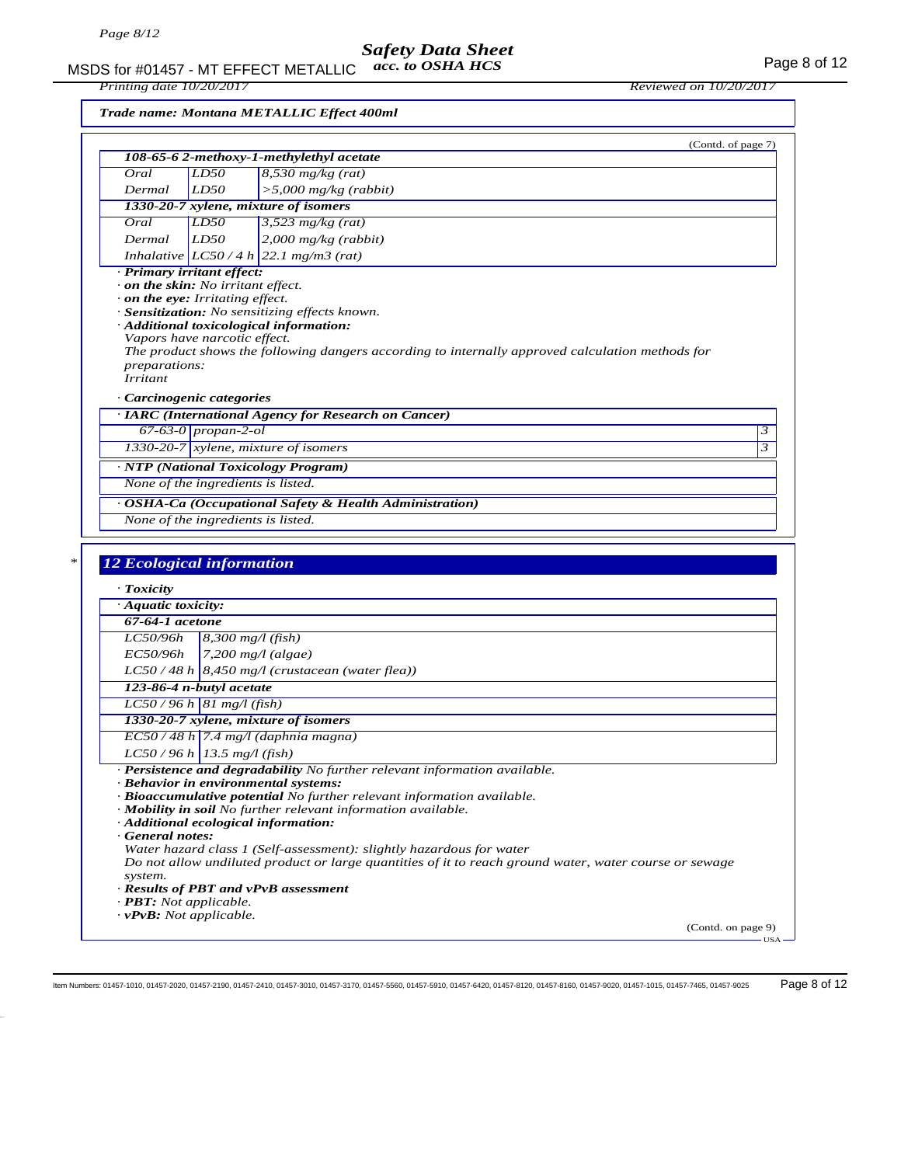### *Safety Data Sheet acc. to OSHA HCS*

MSDS for #01457 - MT EFFECT METALLIC acc. to OSHA HCS Page 8 of 12

*Trade name: Montana METALLIC Effect 400ml*

| (Contd. of page 7)<br>108-65-6 2-methoxy-1-methylethyl acetate<br>LD50<br>$8,530$ mg/kg (rat)<br>Oral<br>LD50<br>$>$ 5,000 mg/kg (rabbit)<br>Dermal<br>1330-20-7 xylene, mixture of isomers<br>LD50<br>$3,523$ mg/kg (rat)<br>Oral<br>LD50<br>$2,000$ mg/kg (rabbit)<br>Dermal<br>Inhalative $ LCS0/4 h 22.1 mg/m3$ (rat)<br>· Primary irritant effect:<br>on the skin: No irritant effect.<br>$\cdot$ on the eye: Irritating effect.<br>· Sensitization: No sensitizing effects known.<br>· Additional toxicological information:<br>Vapors have narcotic effect.<br>The product shows the following dangers according to internally approved calculation methods for<br><i>preparations:</i><br><i>Irritant</i><br>· Carcinogenic categories<br>· IARC (International Agency for Research on Cancer)<br>$67-63-0$ propan-2-ol<br>1330-20-7 xylene, mixture of isomers<br>· NTP (National Toxicology Program)<br>None of the ingredients is listed.<br>· OSHA-Ca (Occupational Safety & Health Administration)<br>None of the ingredients is listed.<br><b>12 Ecological information</b><br>· Toxicity<br>· Aquatic toxicity:<br>67-64-1 acetone<br><i>LC50/96h</i><br>$8,300$ mg/l (fish)<br>EC50/96h<br>$7,200$ mg/l (algae)<br>$LC50/48 h$ 8,450 mg/l (crustacean (water flea))<br>123-86-4 n-butyl acetate<br>$LC50/96 h$ 81 mg/l (fish)<br>1330-20-7 xylene, mixture of isomers<br>$EC$ 50 / 48 h 7.4 mg/l (daphnia magna)<br>$LC50/96 h$ 13.5 mg/l (fish)<br>· Persistence and degradability No further relevant information available.<br>· Behavior in environmental systems:<br>$\cdot$ Bioaccumulative potential No further relevant information available.<br>· Mobility in soil No further relevant information available.<br>· Additional ecological information:<br>General notes:<br>Water hazard class 1 (Self-assessment): slightly hazardous for water<br>Do not allow undiluted product or large quantities of it to reach ground water, water course or sewage<br>system.<br>· Results of PBT and vPvB assessment<br>$\cdot$ <b>PBT:</b> Not applicable.<br>$\cdot$ <b>vPvB</b> : Not applicable. |  |  |
|------------------------------------------------------------------------------------------------------------------------------------------------------------------------------------------------------------------------------------------------------------------------------------------------------------------------------------------------------------------------------------------------------------------------------------------------------------------------------------------------------------------------------------------------------------------------------------------------------------------------------------------------------------------------------------------------------------------------------------------------------------------------------------------------------------------------------------------------------------------------------------------------------------------------------------------------------------------------------------------------------------------------------------------------------------------------------------------------------------------------------------------------------------------------------------------------------------------------------------------------------------------------------------------------------------------------------------------------------------------------------------------------------------------------------------------------------------------------------------------------------------------------------------------------------------------------------------------------------------------------------------------------------------------------------------------------------------------------------------------------------------------------------------------------------------------------------------------------------------------------------------------------------------------------------------------------------------------------------------------------------------------------------------------------------------------------------------------------------------------------|--|--|
|                                                                                                                                                                                                                                                                                                                                                                                                                                                                                                                                                                                                                                                                                                                                                                                                                                                                                                                                                                                                                                                                                                                                                                                                                                                                                                                                                                                                                                                                                                                                                                                                                                                                                                                                                                                                                                                                                                                                                                                                                                                                                                                        |  |  |
|                                                                                                                                                                                                                                                                                                                                                                                                                                                                                                                                                                                                                                                                                                                                                                                                                                                                                                                                                                                                                                                                                                                                                                                                                                                                                                                                                                                                                                                                                                                                                                                                                                                                                                                                                                                                                                                                                                                                                                                                                                                                                                                        |  |  |
|                                                                                                                                                                                                                                                                                                                                                                                                                                                                                                                                                                                                                                                                                                                                                                                                                                                                                                                                                                                                                                                                                                                                                                                                                                                                                                                                                                                                                                                                                                                                                                                                                                                                                                                                                                                                                                                                                                                                                                                                                                                                                                                        |  |  |
|                                                                                                                                                                                                                                                                                                                                                                                                                                                                                                                                                                                                                                                                                                                                                                                                                                                                                                                                                                                                                                                                                                                                                                                                                                                                                                                                                                                                                                                                                                                                                                                                                                                                                                                                                                                                                                                                                                                                                                                                                                                                                                                        |  |  |
|                                                                                                                                                                                                                                                                                                                                                                                                                                                                                                                                                                                                                                                                                                                                                                                                                                                                                                                                                                                                                                                                                                                                                                                                                                                                                                                                                                                                                                                                                                                                                                                                                                                                                                                                                                                                                                                                                                                                                                                                                                                                                                                        |  |  |
|                                                                                                                                                                                                                                                                                                                                                                                                                                                                                                                                                                                                                                                                                                                                                                                                                                                                                                                                                                                                                                                                                                                                                                                                                                                                                                                                                                                                                                                                                                                                                                                                                                                                                                                                                                                                                                                                                                                                                                                                                                                                                                                        |  |  |
|                                                                                                                                                                                                                                                                                                                                                                                                                                                                                                                                                                                                                                                                                                                                                                                                                                                                                                                                                                                                                                                                                                                                                                                                                                                                                                                                                                                                                                                                                                                                                                                                                                                                                                                                                                                                                                                                                                                                                                                                                                                                                                                        |  |  |
|                                                                                                                                                                                                                                                                                                                                                                                                                                                                                                                                                                                                                                                                                                                                                                                                                                                                                                                                                                                                                                                                                                                                                                                                                                                                                                                                                                                                                                                                                                                                                                                                                                                                                                                                                                                                                                                                                                                                                                                                                                                                                                                        |  |  |
|                                                                                                                                                                                                                                                                                                                                                                                                                                                                                                                                                                                                                                                                                                                                                                                                                                                                                                                                                                                                                                                                                                                                                                                                                                                                                                                                                                                                                                                                                                                                                                                                                                                                                                                                                                                                                                                                                                                                                                                                                                                                                                                        |  |  |
|                                                                                                                                                                                                                                                                                                                                                                                                                                                                                                                                                                                                                                                                                                                                                                                                                                                                                                                                                                                                                                                                                                                                                                                                                                                                                                                                                                                                                                                                                                                                                                                                                                                                                                                                                                                                                                                                                                                                                                                                                                                                                                                        |  |  |
|                                                                                                                                                                                                                                                                                                                                                                                                                                                                                                                                                                                                                                                                                                                                                                                                                                                                                                                                                                                                                                                                                                                                                                                                                                                                                                                                                                                                                                                                                                                                                                                                                                                                                                                                                                                                                                                                                                                                                                                                                                                                                                                        |  |  |
|                                                                                                                                                                                                                                                                                                                                                                                                                                                                                                                                                                                                                                                                                                                                                                                                                                                                                                                                                                                                                                                                                                                                                                                                                                                                                                                                                                                                                                                                                                                                                                                                                                                                                                                                                                                                                                                                                                                                                                                                                                                                                                                        |  |  |
|                                                                                                                                                                                                                                                                                                                                                                                                                                                                                                                                                                                                                                                                                                                                                                                                                                                                                                                                                                                                                                                                                                                                                                                                                                                                                                                                                                                                                                                                                                                                                                                                                                                                                                                                                                                                                                                                                                                                                                                                                                                                                                                        |  |  |
|                                                                                                                                                                                                                                                                                                                                                                                                                                                                                                                                                                                                                                                                                                                                                                                                                                                                                                                                                                                                                                                                                                                                                                                                                                                                                                                                                                                                                                                                                                                                                                                                                                                                                                                                                                                                                                                                                                                                                                                                                                                                                                                        |  |  |
|                                                                                                                                                                                                                                                                                                                                                                                                                                                                                                                                                                                                                                                                                                                                                                                                                                                                                                                                                                                                                                                                                                                                                                                                                                                                                                                                                                                                                                                                                                                                                                                                                                                                                                                                                                                                                                                                                                                                                                                                                                                                                                                        |  |  |
|                                                                                                                                                                                                                                                                                                                                                                                                                                                                                                                                                                                                                                                                                                                                                                                                                                                                                                                                                                                                                                                                                                                                                                                                                                                                                                                                                                                                                                                                                                                                                                                                                                                                                                                                                                                                                                                                                                                                                                                                                                                                                                                        |  |  |
|                                                                                                                                                                                                                                                                                                                                                                                                                                                                                                                                                                                                                                                                                                                                                                                                                                                                                                                                                                                                                                                                                                                                                                                                                                                                                                                                                                                                                                                                                                                                                                                                                                                                                                                                                                                                                                                                                                                                                                                                                                                                                                                        |  |  |
|                                                                                                                                                                                                                                                                                                                                                                                                                                                                                                                                                                                                                                                                                                                                                                                                                                                                                                                                                                                                                                                                                                                                                                                                                                                                                                                                                                                                                                                                                                                                                                                                                                                                                                                                                                                                                                                                                                                                                                                                                                                                                                                        |  |  |
|                                                                                                                                                                                                                                                                                                                                                                                                                                                                                                                                                                                                                                                                                                                                                                                                                                                                                                                                                                                                                                                                                                                                                                                                                                                                                                                                                                                                                                                                                                                                                                                                                                                                                                                                                                                                                                                                                                                                                                                                                                                                                                                        |  |  |
|                                                                                                                                                                                                                                                                                                                                                                                                                                                                                                                                                                                                                                                                                                                                                                                                                                                                                                                                                                                                                                                                                                                                                                                                                                                                                                                                                                                                                                                                                                                                                                                                                                                                                                                                                                                                                                                                                                                                                                                                                                                                                                                        |  |  |
|                                                                                                                                                                                                                                                                                                                                                                                                                                                                                                                                                                                                                                                                                                                                                                                                                                                                                                                                                                                                                                                                                                                                                                                                                                                                                                                                                                                                                                                                                                                                                                                                                                                                                                                                                                                                                                                                                                                                                                                                                                                                                                                        |  |  |
|                                                                                                                                                                                                                                                                                                                                                                                                                                                                                                                                                                                                                                                                                                                                                                                                                                                                                                                                                                                                                                                                                                                                                                                                                                                                                                                                                                                                                                                                                                                                                                                                                                                                                                                                                                                                                                                                                                                                                                                                                                                                                                                        |  |  |
|                                                                                                                                                                                                                                                                                                                                                                                                                                                                                                                                                                                                                                                                                                                                                                                                                                                                                                                                                                                                                                                                                                                                                                                                                                                                                                                                                                                                                                                                                                                                                                                                                                                                                                                                                                                                                                                                                                                                                                                                                                                                                                                        |  |  |
|                                                                                                                                                                                                                                                                                                                                                                                                                                                                                                                                                                                                                                                                                                                                                                                                                                                                                                                                                                                                                                                                                                                                                                                                                                                                                                                                                                                                                                                                                                                                                                                                                                                                                                                                                                                                                                                                                                                                                                                                                                                                                                                        |  |  |
|                                                                                                                                                                                                                                                                                                                                                                                                                                                                                                                                                                                                                                                                                                                                                                                                                                                                                                                                                                                                                                                                                                                                                                                                                                                                                                                                                                                                                                                                                                                                                                                                                                                                                                                                                                                                                                                                                                                                                                                                                                                                                                                        |  |  |
|                                                                                                                                                                                                                                                                                                                                                                                                                                                                                                                                                                                                                                                                                                                                                                                                                                                                                                                                                                                                                                                                                                                                                                                                                                                                                                                                                                                                                                                                                                                                                                                                                                                                                                                                                                                                                                                                                                                                                                                                                                                                                                                        |  |  |
|                                                                                                                                                                                                                                                                                                                                                                                                                                                                                                                                                                                                                                                                                                                                                                                                                                                                                                                                                                                                                                                                                                                                                                                                                                                                                                                                                                                                                                                                                                                                                                                                                                                                                                                                                                                                                                                                                                                                                                                                                                                                                                                        |  |  |
|                                                                                                                                                                                                                                                                                                                                                                                                                                                                                                                                                                                                                                                                                                                                                                                                                                                                                                                                                                                                                                                                                                                                                                                                                                                                                                                                                                                                                                                                                                                                                                                                                                                                                                                                                                                                                                                                                                                                                                                                                                                                                                                        |  |  |
|                                                                                                                                                                                                                                                                                                                                                                                                                                                                                                                                                                                                                                                                                                                                                                                                                                                                                                                                                                                                                                                                                                                                                                                                                                                                                                                                                                                                                                                                                                                                                                                                                                                                                                                                                                                                                                                                                                                                                                                                                                                                                                                        |  |  |
|                                                                                                                                                                                                                                                                                                                                                                                                                                                                                                                                                                                                                                                                                                                                                                                                                                                                                                                                                                                                                                                                                                                                                                                                                                                                                                                                                                                                                                                                                                                                                                                                                                                                                                                                                                                                                                                                                                                                                                                                                                                                                                                        |  |  |
|                                                                                                                                                                                                                                                                                                                                                                                                                                                                                                                                                                                                                                                                                                                                                                                                                                                                                                                                                                                                                                                                                                                                                                                                                                                                                                                                                                                                                                                                                                                                                                                                                                                                                                                                                                                                                                                                                                                                                                                                                                                                                                                        |  |  |
|                                                                                                                                                                                                                                                                                                                                                                                                                                                                                                                                                                                                                                                                                                                                                                                                                                                                                                                                                                                                                                                                                                                                                                                                                                                                                                                                                                                                                                                                                                                                                                                                                                                                                                                                                                                                                                                                                                                                                                                                                                                                                                                        |  |  |
|                                                                                                                                                                                                                                                                                                                                                                                                                                                                                                                                                                                                                                                                                                                                                                                                                                                                                                                                                                                                                                                                                                                                                                                                                                                                                                                                                                                                                                                                                                                                                                                                                                                                                                                                                                                                                                                                                                                                                                                                                                                                                                                        |  |  |
|                                                                                                                                                                                                                                                                                                                                                                                                                                                                                                                                                                                                                                                                                                                                                                                                                                                                                                                                                                                                                                                                                                                                                                                                                                                                                                                                                                                                                                                                                                                                                                                                                                                                                                                                                                                                                                                                                                                                                                                                                                                                                                                        |  |  |
|                                                                                                                                                                                                                                                                                                                                                                                                                                                                                                                                                                                                                                                                                                                                                                                                                                                                                                                                                                                                                                                                                                                                                                                                                                                                                                                                                                                                                                                                                                                                                                                                                                                                                                                                                                                                                                                                                                                                                                                                                                                                                                                        |  |  |
|                                                                                                                                                                                                                                                                                                                                                                                                                                                                                                                                                                                                                                                                                                                                                                                                                                                                                                                                                                                                                                                                                                                                                                                                                                                                                                                                                                                                                                                                                                                                                                                                                                                                                                                                                                                                                                                                                                                                                                                                                                                                                                                        |  |  |
|                                                                                                                                                                                                                                                                                                                                                                                                                                                                                                                                                                                                                                                                                                                                                                                                                                                                                                                                                                                                                                                                                                                                                                                                                                                                                                                                                                                                                                                                                                                                                                                                                                                                                                                                                                                                                                                                                                                                                                                                                                                                                                                        |  |  |
|                                                                                                                                                                                                                                                                                                                                                                                                                                                                                                                                                                                                                                                                                                                                                                                                                                                                                                                                                                                                                                                                                                                                                                                                                                                                                                                                                                                                                                                                                                                                                                                                                                                                                                                                                                                                                                                                                                                                                                                                                                                                                                                        |  |  |
|                                                                                                                                                                                                                                                                                                                                                                                                                                                                                                                                                                                                                                                                                                                                                                                                                                                                                                                                                                                                                                                                                                                                                                                                                                                                                                                                                                                                                                                                                                                                                                                                                                                                                                                                                                                                                                                                                                                                                                                                                                                                                                                        |  |  |
|                                                                                                                                                                                                                                                                                                                                                                                                                                                                                                                                                                                                                                                                                                                                                                                                                                                                                                                                                                                                                                                                                                                                                                                                                                                                                                                                                                                                                                                                                                                                                                                                                                                                                                                                                                                                                                                                                                                                                                                                                                                                                                                        |  |  |
|                                                                                                                                                                                                                                                                                                                                                                                                                                                                                                                                                                                                                                                                                                                                                                                                                                                                                                                                                                                                                                                                                                                                                                                                                                                                                                                                                                                                                                                                                                                                                                                                                                                                                                                                                                                                                                                                                                                                                                                                                                                                                                                        |  |  |
|                                                                                                                                                                                                                                                                                                                                                                                                                                                                                                                                                                                                                                                                                                                                                                                                                                                                                                                                                                                                                                                                                                                                                                                                                                                                                                                                                                                                                                                                                                                                                                                                                                                                                                                                                                                                                                                                                                                                                                                                                                                                                                                        |  |  |
|                                                                                                                                                                                                                                                                                                                                                                                                                                                                                                                                                                                                                                                                                                                                                                                                                                                                                                                                                                                                                                                                                                                                                                                                                                                                                                                                                                                                                                                                                                                                                                                                                                                                                                                                                                                                                                                                                                                                                                                                                                                                                                                        |  |  |
|                                                                                                                                                                                                                                                                                                                                                                                                                                                                                                                                                                                                                                                                                                                                                                                                                                                                                                                                                                                                                                                                                                                                                                                                                                                                                                                                                                                                                                                                                                                                                                                                                                                                                                                                                                                                                                                                                                                                                                                                                                                                                                                        |  |  |
|                                                                                                                                                                                                                                                                                                                                                                                                                                                                                                                                                                                                                                                                                                                                                                                                                                                                                                                                                                                                                                                                                                                                                                                                                                                                                                                                                                                                                                                                                                                                                                                                                                                                                                                                                                                                                                                                                                                                                                                                                                                                                                                        |  |  |

Item Numbers: 01457-1010, 01457-2020, 01457-2190, 01457-2410, 01457-3010, 01457-3170, 01457-5560, 01457-5910, 01457-6420, 01457-8120, 01457-8160, 01457-9020, 01457-1015, 01457-7465, 01457-9025 Page 8 of 12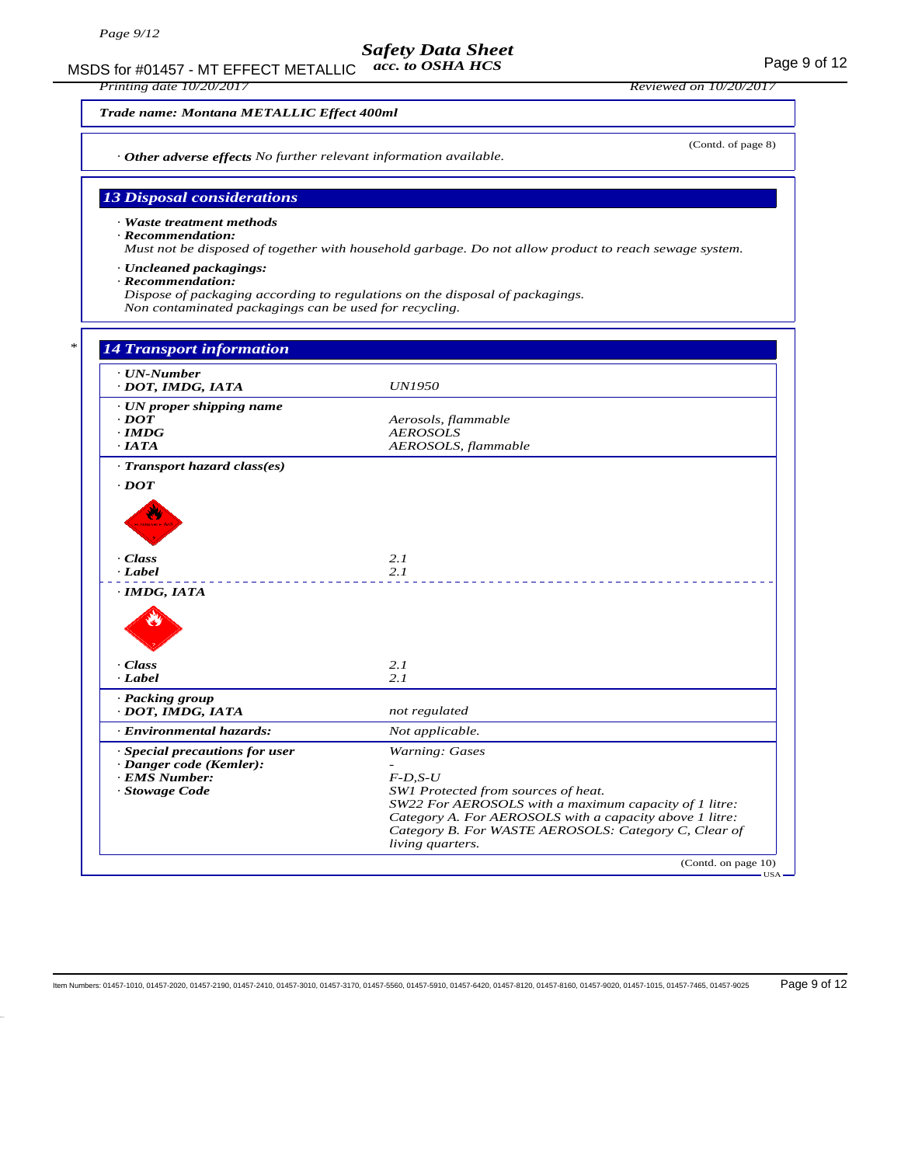MSDS for #01457 - MT EFFECT METALLIC acc. to OSHA HCS Page 9 of 12 *acc. to OSHA HCS*

*Printing date 10/20/2017 Reviewed on 10/20/2017*

(Contd. of page 8)

#### *Trade name: Montana METALLIC Effect 400ml*

*· Other adverse effects No further relevant information available.*

### *13 Disposal considerations*

*· Waste treatment methods*

*· Recommendation:*

*Must not be disposed of together with household garbage. Do not allow product to reach sewage system.*

- *· Uncleaned packagings:*
- *· Recommendation:*

*Dispose of packaging according to regulations on the disposal of packagings.*

*Non contaminated packagings can be used for recycling.*

| $\cdot$ UN-Number              |                                                                                                                 |
|--------------------------------|-----------------------------------------------------------------------------------------------------------------|
| · DOT, IMDG, IATA              | <b>UN1950</b>                                                                                                   |
| · UN proper shipping name      |                                                                                                                 |
| $\cdot$ <i>DOT</i>             | Aerosols, flammable                                                                                             |
| $\cdot$ IMDG                   | <b>AEROSOLS</b>                                                                                                 |
| $\cdot$ IATA                   | AEROSOLS, flammable                                                                                             |
| · Transport hazard class(es)   |                                                                                                                 |
| $\cdot$ <i>DOT</i>             |                                                                                                                 |
|                                |                                                                                                                 |
|                                |                                                                                                                 |
|                                |                                                                                                                 |
|                                |                                                                                                                 |
| $\cdot$ Class                  | 2.1                                                                                                             |
| $\cdot$ Label                  | 2.1                                                                                                             |
| $\cdot$ IMDG, IATA             |                                                                                                                 |
|                                |                                                                                                                 |
|                                |                                                                                                                 |
| · Class                        | 2.1                                                                                                             |
| · Label                        | 2.1                                                                                                             |
| · Packing group                |                                                                                                                 |
| · DOT, IMDG, IATA              | not regulated                                                                                                   |
| · Environmental hazards:       | Not applicable.                                                                                                 |
| · Special precautions for user | Warning: Gases                                                                                                  |
| · Danger code (Kemler):        |                                                                                                                 |
| <b>EMS</b> Number:             | $F$ -D,S-U                                                                                                      |
| · Stowage Code                 | SW1 Protected from sources of heat.                                                                             |
|                                | SW22 For AEROSOLS with a maximum capacity of 1 litre:                                                           |
|                                |                                                                                                                 |
|                                | Category A. For AEROSOLS with a capacity above 1 litre:<br>Category B. For WASTE AEROSOLS: Category C, Clear of |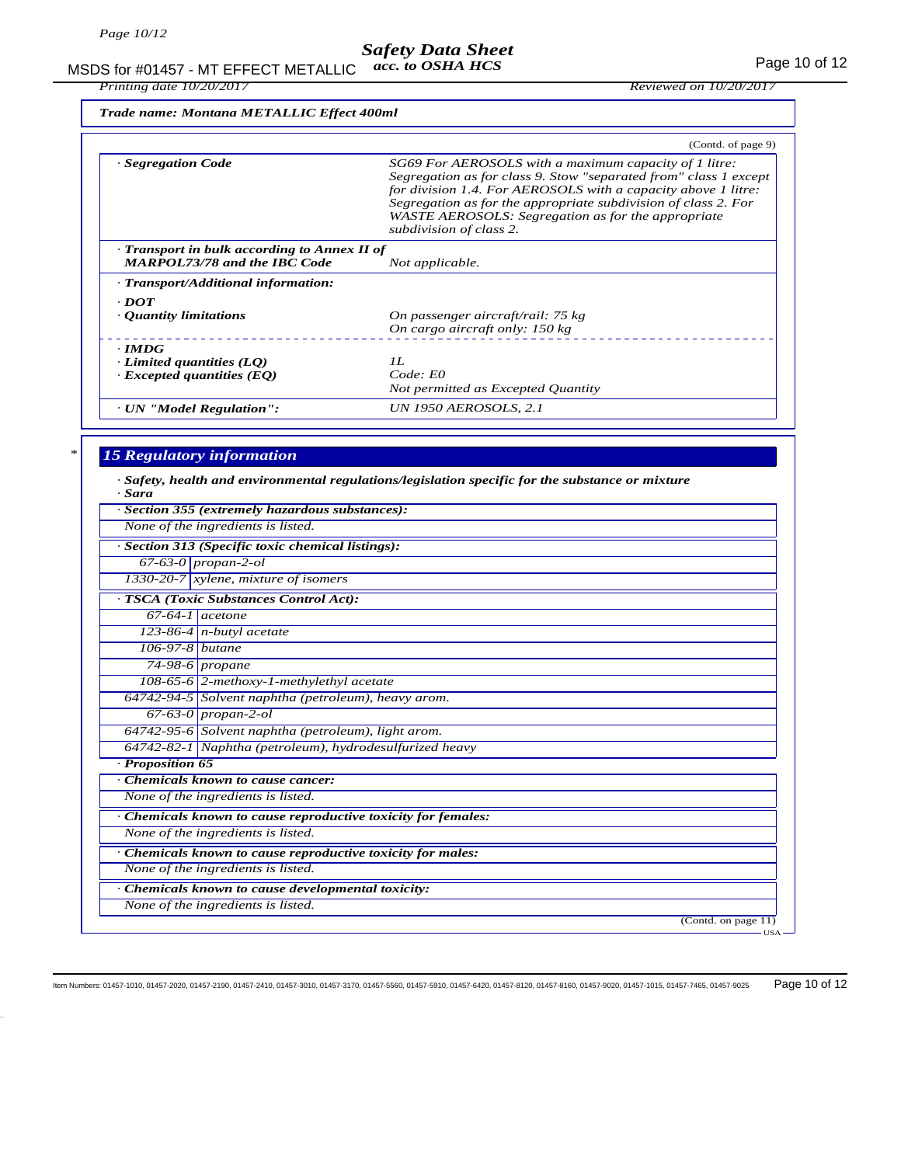MSDS for #01457 - MT EFFECT METALLIC acc. to OSHA HCS *acc. to OSHA HCS*

*Printing date 10/20/2017 Reviewed on 10/20/2017*

*Trade name: Montana METALLIC Effect 400ml*

|                                                                                     | (Contd. of page 9)                                                                                                                                                                                                                                                                                                                            |
|-------------------------------------------------------------------------------------|-----------------------------------------------------------------------------------------------------------------------------------------------------------------------------------------------------------------------------------------------------------------------------------------------------------------------------------------------|
| · Segregation Code                                                                  | SG69 For AEROSOLS with a maximum capacity of 1 litre:<br>Segregation as for class 9. Stow "separated from" class 1 except<br>for division 1.4. For AEROSOLS with a capacity above 1 litre:<br>Segregation as for the appropriate subdivision of class 2. For<br>WASTE AEROSOLS: Segregation as for the appropriate<br>subdivision of class 2. |
| Transport in bulk according to Annex II of<br><b>MARPOL73/78 and the IBC Code</b>   | Not applicable.                                                                                                                                                                                                                                                                                                                               |
| · Transport/Additional information:                                                 |                                                                                                                                                                                                                                                                                                                                               |
| $\cdot$ DOT<br>$\cdot$ Quantity limitations                                         | On passenger aircraft/rail: 75 kg<br>On cargo aircraft only: 150 kg                                                                                                                                                                                                                                                                           |
| $\cdot$ IMDG<br>$\cdot$ Limited quantities (LQ)<br>$\cdot$ Excepted quantities (EQ) | II.<br>Code: E0<br>Not permitted as Excepted Quantity                                                                                                                                                                                                                                                                                         |
| · UN "Model Regulation":                                                            | UN 1950 AEROSOLS, 2.1                                                                                                                                                                                                                                                                                                                         |

### *\* 15 Regulatory information*

*· Safety, health and environmental regulations/legislation specific for the substance or mixture*

| Section 355 (extremely hazardous substances):<br>None of the ingredients is listed.<br>Section 313 (Specific toxic chemical listings):<br>$67-63-0$ propan-2-ol<br>1330-20-7 xylene, mixture of isomers<br>TSCA (Toxic Substances Control Act):<br>$67-64-1$ acetone<br>$123-86-4$ n-butyl acetate<br>106-97-8 butane<br>74-98-6 propane<br>108-65-6 2-methoxy-1-methylethyl acetate<br>64742-94-5 Solvent naphtha (petroleum), heavy arom.<br>$\overline{67-63-0}$ propan-2-ol<br>64742-95-6 Solvent naphtha (petroleum), light arom.<br>64742-82-1 Naphtha (petroleum), hydrodesulfurized heavy<br>Proposition 65<br>Chemicals known to cause cancer:<br>None of the ingredients is listed.<br>Chemicals known to cause reproductive toxicity for females:<br>None of the ingredients is listed.<br>Chemicals known to cause reproductive toxicity for males:<br>None of the ingredients is listed.<br>Chemicals known to cause developmental toxicity:<br>None of the ingredients is listed. | · Sara |                                           |
|-------------------------------------------------------------------------------------------------------------------------------------------------------------------------------------------------------------------------------------------------------------------------------------------------------------------------------------------------------------------------------------------------------------------------------------------------------------------------------------------------------------------------------------------------------------------------------------------------------------------------------------------------------------------------------------------------------------------------------------------------------------------------------------------------------------------------------------------------------------------------------------------------------------------------------------------------------------------------------------------------|--------|-------------------------------------------|
|                                                                                                                                                                                                                                                                                                                                                                                                                                                                                                                                                                                                                                                                                                                                                                                                                                                                                                                                                                                                 |        |                                           |
|                                                                                                                                                                                                                                                                                                                                                                                                                                                                                                                                                                                                                                                                                                                                                                                                                                                                                                                                                                                                 |        |                                           |
|                                                                                                                                                                                                                                                                                                                                                                                                                                                                                                                                                                                                                                                                                                                                                                                                                                                                                                                                                                                                 |        |                                           |
|                                                                                                                                                                                                                                                                                                                                                                                                                                                                                                                                                                                                                                                                                                                                                                                                                                                                                                                                                                                                 |        |                                           |
|                                                                                                                                                                                                                                                                                                                                                                                                                                                                                                                                                                                                                                                                                                                                                                                                                                                                                                                                                                                                 |        |                                           |
|                                                                                                                                                                                                                                                                                                                                                                                                                                                                                                                                                                                                                                                                                                                                                                                                                                                                                                                                                                                                 |        |                                           |
|                                                                                                                                                                                                                                                                                                                                                                                                                                                                                                                                                                                                                                                                                                                                                                                                                                                                                                                                                                                                 |        |                                           |
|                                                                                                                                                                                                                                                                                                                                                                                                                                                                                                                                                                                                                                                                                                                                                                                                                                                                                                                                                                                                 |        |                                           |
|                                                                                                                                                                                                                                                                                                                                                                                                                                                                                                                                                                                                                                                                                                                                                                                                                                                                                                                                                                                                 |        |                                           |
|                                                                                                                                                                                                                                                                                                                                                                                                                                                                                                                                                                                                                                                                                                                                                                                                                                                                                                                                                                                                 |        |                                           |
|                                                                                                                                                                                                                                                                                                                                                                                                                                                                                                                                                                                                                                                                                                                                                                                                                                                                                                                                                                                                 |        |                                           |
|                                                                                                                                                                                                                                                                                                                                                                                                                                                                                                                                                                                                                                                                                                                                                                                                                                                                                                                                                                                                 |        |                                           |
|                                                                                                                                                                                                                                                                                                                                                                                                                                                                                                                                                                                                                                                                                                                                                                                                                                                                                                                                                                                                 |        |                                           |
|                                                                                                                                                                                                                                                                                                                                                                                                                                                                                                                                                                                                                                                                                                                                                                                                                                                                                                                                                                                                 |        |                                           |
|                                                                                                                                                                                                                                                                                                                                                                                                                                                                                                                                                                                                                                                                                                                                                                                                                                                                                                                                                                                                 |        |                                           |
|                                                                                                                                                                                                                                                                                                                                                                                                                                                                                                                                                                                                                                                                                                                                                                                                                                                                                                                                                                                                 |        |                                           |
|                                                                                                                                                                                                                                                                                                                                                                                                                                                                                                                                                                                                                                                                                                                                                                                                                                                                                                                                                                                                 |        |                                           |
|                                                                                                                                                                                                                                                                                                                                                                                                                                                                                                                                                                                                                                                                                                                                                                                                                                                                                                                                                                                                 |        |                                           |
|                                                                                                                                                                                                                                                                                                                                                                                                                                                                                                                                                                                                                                                                                                                                                                                                                                                                                                                                                                                                 |        |                                           |
|                                                                                                                                                                                                                                                                                                                                                                                                                                                                                                                                                                                                                                                                                                                                                                                                                                                                                                                                                                                                 |        |                                           |
|                                                                                                                                                                                                                                                                                                                                                                                                                                                                                                                                                                                                                                                                                                                                                                                                                                                                                                                                                                                                 |        |                                           |
|                                                                                                                                                                                                                                                                                                                                                                                                                                                                                                                                                                                                                                                                                                                                                                                                                                                                                                                                                                                                 |        |                                           |
|                                                                                                                                                                                                                                                                                                                                                                                                                                                                                                                                                                                                                                                                                                                                                                                                                                                                                                                                                                                                 |        |                                           |
|                                                                                                                                                                                                                                                                                                                                                                                                                                                                                                                                                                                                                                                                                                                                                                                                                                                                                                                                                                                                 |        |                                           |
|                                                                                                                                                                                                                                                                                                                                                                                                                                                                                                                                                                                                                                                                                                                                                                                                                                                                                                                                                                                                 |        | (Contd. on page 11)<br>– USA <del>–</del> |

Item Numbers: 01457-1010, 01457-2020, 01457-2190, 01457-2410, 01457-3010, 01457-3170, 01457-5560, 01457-5910, 01457-6420, 01457-8120, 01457-8160, 01457-9020, 01457-1015, 01457-7465, 01457-9025 Page 10 of 12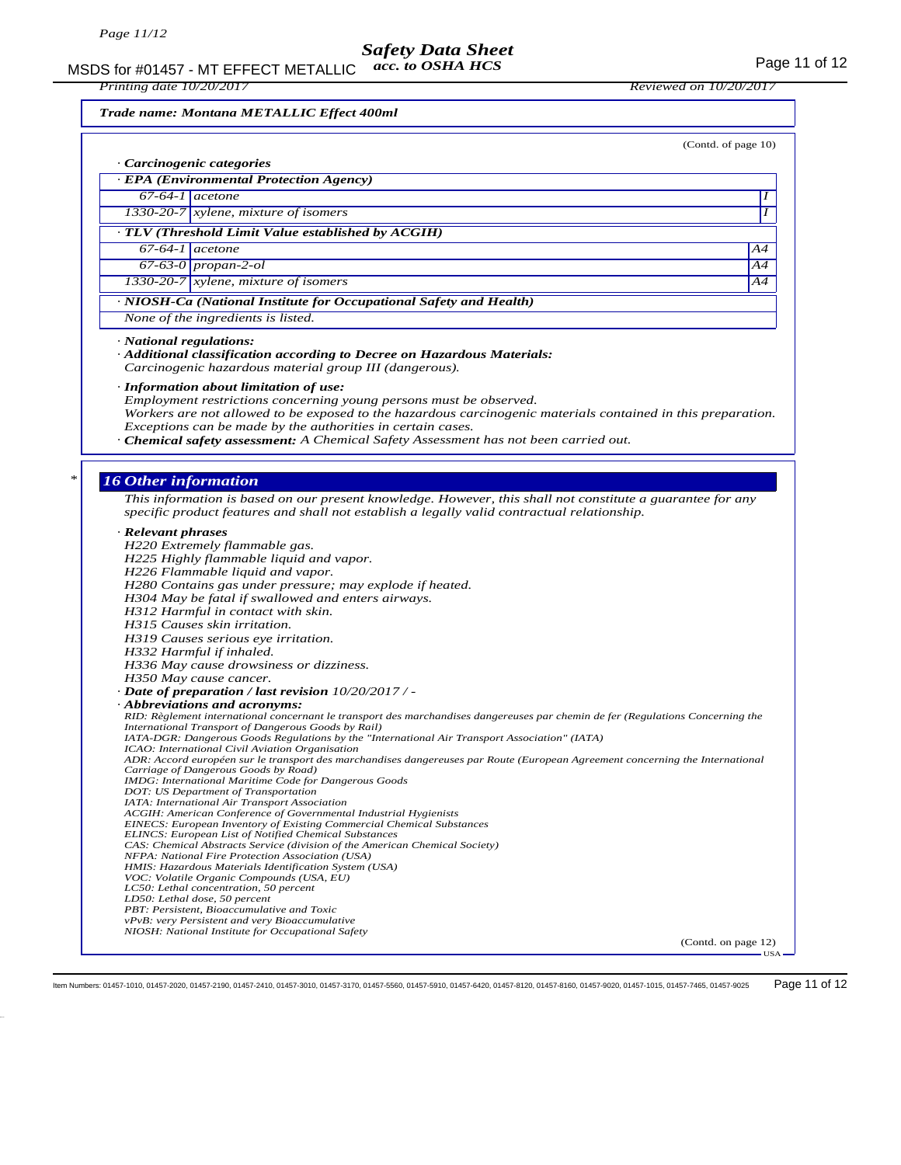MSDS for #01457 - MT EFFECT METALLIC acc. to OSHA HCS Page 11 of 12 *acc. to OSHA HCS*

*Trade name: Montana METALLIC Effect 400ml*

|                                                                                                                                                                                        | (Contd. of page 10) |
|----------------------------------------------------------------------------------------------------------------------------------------------------------------------------------------|---------------------|
| · Carcinogenic categories                                                                                                                                                              |                     |
| · EPA (Environmental Protection Agency)                                                                                                                                                |                     |
| $67-64-1$ acetone                                                                                                                                                                      |                     |
| $1330-20-7$ xylene, mixture of isomers                                                                                                                                                 |                     |
| · TLV (Threshold Limit Value established by ACGIH)                                                                                                                                     |                     |
| $67-64-1$ acetone                                                                                                                                                                      | A4                  |
| 67-63-0 propan-2-ol                                                                                                                                                                    | Α4                  |
| 1330-20-7 xylene, mixture of isomers                                                                                                                                                   | A4                  |
| · NIOSH-Ca (National Institute for Occupational Safety and Health)                                                                                                                     |                     |
| None of the ingredients is listed.                                                                                                                                                     |                     |
|                                                                                                                                                                                        |                     |
| $\cdot$ National regulations:<br>· Additional classification according to Decree on Hazardous Materials:                                                                               |                     |
| Carcinogenic hazardous material group III (dangerous).                                                                                                                                 |                     |
| · Information about limitation of use:                                                                                                                                                 |                     |
| Employment restrictions concerning young persons must be observed.                                                                                                                     |                     |
| Workers are not allowed to be exposed to the hazardous carcinogenic materials contained in this preparation.                                                                           |                     |
| Exceptions can be made by the authorities in certain cases.                                                                                                                            |                     |
| · Chemical safety assessment: A Chemical Safety Assessment has not been carried out.                                                                                                   |                     |
|                                                                                                                                                                                        |                     |
| <b>16 Other information</b>                                                                                                                                                            |                     |
| This information is based on our present knowledge. However, this shall not constitute a guarantee for any                                                                             |                     |
| specific product features and shall not establish a legally valid contractual relationship.                                                                                            |                     |
| · Relevant phrases                                                                                                                                                                     |                     |
| H220 Extremely flammable gas.                                                                                                                                                          |                     |
| H225 Highly flammable liquid and vapor.                                                                                                                                                |                     |
| H226 Flammable liquid and vapor.                                                                                                                                                       |                     |
| H280 Contains gas under pressure; may explode if heated.                                                                                                                               |                     |
|                                                                                                                                                                                        |                     |
| H304 May be fatal if swallowed and enters airways.                                                                                                                                     |                     |
| H312 Harmful in contact with skin.                                                                                                                                                     |                     |
| H315 Causes skin irritation.                                                                                                                                                           |                     |
| H319 Causes serious eye irritation.                                                                                                                                                    |                     |
| H332 Harmful if inhaled.<br>H336 May cause drowsiness or dizziness.                                                                                                                    |                     |
| H350 May cause cancer.                                                                                                                                                                 |                     |
| - Date of preparation / last revision 10/20/2017 / -                                                                                                                                   |                     |
| $\cdot$ Abbreviations and acronyms:                                                                                                                                                    |                     |
| RID: Règlement international concernant le transport des marchandises dangereuses par chemin de fer (Regulations Concerning the<br>International Transport of Dangerous Goods by Rail) |                     |
| IATA-DGR: Dangerous Goods Regulations by the "International Air Transport Association" (IATA)                                                                                          |                     |
| ICAO: International Civil Aviation Organisation<br>ADR: Accord européen sur le transport des marchandises dangereuses par Route (European Agreement concerning the International       |                     |
| Carriage of Dangerous Goods by Road)                                                                                                                                                   |                     |
| <b>IMDG:</b> International Maritime Code for Dangerous Goods<br>DOT: US Department of Transportation                                                                                   |                     |
| IATA: International Air Transport Association                                                                                                                                          |                     |
| ACGIH: American Conference of Governmental Industrial Hygienists                                                                                                                       |                     |
| <b>EINECS: European Inventory of Existing Commercial Chemical Substances</b><br><b>ELINCS: European List of Notified Chemical Substances</b>                                           |                     |
| CAS: Chemical Abstracts Service (division of the American Chemical Society)                                                                                                            |                     |
| NFPA: National Fire Protection Association (USA)<br>HMIS: Hazardous Materials Identification System (USA)                                                                              |                     |
| VOC: Volatile Organic Compounds (USA, EU)                                                                                                                                              |                     |
| LC50: Lethal concentration, 50 percent                                                                                                                                                 |                     |
| LD50: Lethal dose, 50 percent<br>PBT: Persistent, Bioaccumulative and Toxic                                                                                                            |                     |
| vPvB: very Persistent and very Bioaccumulative<br>NIOSH: National Institute for Occupational Safety                                                                                    |                     |

Item Numbers: 01457-1010, 01457-2020, 01457-2190, 01457-2410, 01457-3010, 01457-3170, 01457-5560, 01457-5910, 01457-6420, 01457-8120, 01457-8160, 01457-9020, 01457-1015, 01457-7465, 01457-9025 Page 11 of 12